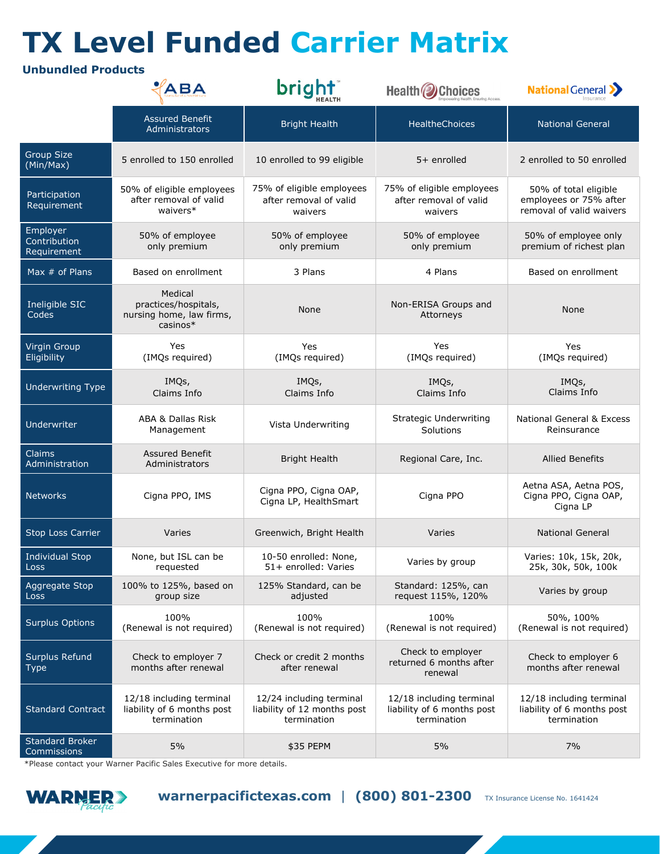## **TX Level Funded Carrier Matrix**

## **Unbundled Products**

|                                         | ABA                                                                     | bright                                                                 | <b>Health 2</b> Choices                                               | <b>National General &gt;&gt;</b>                                            |
|-----------------------------------------|-------------------------------------------------------------------------|------------------------------------------------------------------------|-----------------------------------------------------------------------|-----------------------------------------------------------------------------|
|                                         | <b>Assured Benefit</b><br>Administrators                                | <b>Bright Health</b>                                                   | HealtheChoices                                                        | <b>National General</b>                                                     |
| Group Size<br>(Min/Max)                 | 5 enrolled to 150 enrolled                                              | 10 enrolled to 99 eligible                                             | $5+$ enrolled                                                         | 2 enrolled to 50 enrolled                                                   |
| Participation<br>Requirement            | 50% of eligible employees<br>after removal of valid<br>waivers*         | 75% of eligible employees<br>after removal of valid<br>waivers         | 75% of eligible employees<br>after removal of valid<br>waivers        | 50% of total eligible<br>employees or 75% after<br>removal of valid waivers |
| Employer<br>Contribution<br>Requirement | 50% of employee<br>only premium                                         | 50% of employee<br>only premium                                        | 50% of employee<br>only premium                                       | 50% of employee only<br>premium of richest plan                             |
| Max $#$ of Plans                        | Based on enrollment                                                     | 3 Plans                                                                | 4 Plans                                                               | Based on enrollment                                                         |
| Ineligible SIC<br>Codes                 | Medical<br>practices/hospitals,<br>nursing home, law firms,<br>casinos* | None                                                                   | Non-ERISA Groups and<br>Attorneys                                     | None                                                                        |
| <b>Virgin Group</b><br>Eligibility      | Yes<br>(IMQs required)                                                  | Yes<br>(IMQs required)                                                 | Yes<br>(IMQs required)                                                | Yes<br>(IMQs required)                                                      |
| <b>Underwriting Type</b>                | IMQs,<br>Claims Info                                                    | IMQs,<br>Claims Info                                                   | IMQs,<br>Claims Info                                                  | IMQs,<br>Claims Info                                                        |
| Underwriter                             | ABA & Dallas Risk<br>Management                                         | Vista Underwriting                                                     | Strategic Underwriting<br>Solutions                                   | <b>National General &amp; Excess</b><br>Reinsurance                         |
| <b>Claims</b><br>Administration         | Assured Benefit<br>Administrators                                       | <b>Bright Health</b>                                                   | Regional Care, Inc.                                                   | <b>Allied Benefits</b>                                                      |
| <b>Networks</b>                         | Cigna PPO, IMS                                                          | Cigna PPO, Cigna OAP,<br>Cigna LP, HealthSmart                         | Cigna PPO                                                             | Aetna ASA, Aetna POS,<br>Cigna PPO, Cigna OAP,<br>Cigna LP                  |
| Stop Loss Carrier                       | Varies                                                                  | Greenwich, Bright Health                                               | Varies                                                                | <b>National General</b>                                                     |
| <b>Individual Stop</b><br>Loss          | None, but ISL can be<br>requested                                       | 10-50 enrolled: None,<br>51+ enrolled: Varies                          | Varies by group                                                       | Varies: 10k, 15k, 20k,<br>25k, 30k, 50k, 100k                               |
| Aggregate Stop<br>Loss                  | 100% to 125%, based on<br>group size                                    | 125% Standard, can be<br>adjusted                                      | Standard: 125%, can<br>request 115%, 120%                             | Varies by group                                                             |
| <b>Surplus Options</b>                  | 100%<br>(Renewal is not required)                                       | 100%<br>(Renewal is not required)                                      | 100%<br>(Renewal is not required)                                     | 50%, 100%<br>(Renewal is not required)                                      |
| Surplus Refund<br><b>Type</b>           | Check to employer 7<br>months after renewal                             | Check or credit 2 months<br>after renewal                              | Check to employer<br>returned 6 months after<br>renewal               | Check to employer 6<br>months after renewal                                 |
| <b>Standard Contract</b>                | 12/18 including terminal<br>liability of 6 months post<br>termination   | 12/24 including terminal<br>liability of 12 months post<br>termination | 12/18 including terminal<br>liability of 6 months post<br>termination | 12/18 including terminal<br>liability of 6 months post<br>termination       |
| <b>Standard Broker</b><br>Commissions   | 5%                                                                      | \$35 PEPM                                                              | 5%                                                                    | 7%                                                                          |

\*Please contact your Warner Pacific Sales Executive for more details.